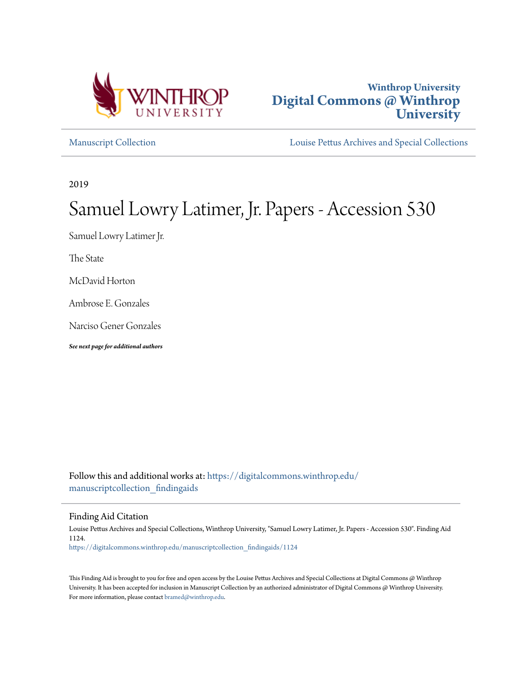



[Manuscript Collection](https://digitalcommons.winthrop.edu/manuscriptcollection_findingaids?utm_source=digitalcommons.winthrop.edu%2Fmanuscriptcollection_findingaids%2F1124&utm_medium=PDF&utm_campaign=PDFCoverPages) [Louise Pettus Archives and Special Collections](https://digitalcommons.winthrop.edu/pettus_archives?utm_source=digitalcommons.winthrop.edu%2Fmanuscriptcollection_findingaids%2F1124&utm_medium=PDF&utm_campaign=PDFCoverPages)

2019

# Samuel Lowry Latimer, Jr. Papers - Accession 530

Samuel Lowry Latimer Jr.

The State

McDavid Horton

Ambrose E. Gonzales

Narciso Gener Gonzales

*See next page for additional authors*

Follow this and additional works at: [https://digitalcommons.winthrop.edu/](https://digitalcommons.winthrop.edu/manuscriptcollection_findingaids?utm_source=digitalcommons.winthrop.edu%2Fmanuscriptcollection_findingaids%2F1124&utm_medium=PDF&utm_campaign=PDFCoverPages) manuscriptcollection findingaids

Finding Aid Citation

Louise Pettus Archives and Special Collections, Winthrop University, "Samuel Lowry Latimer, Jr. Papers - Accession 530". Finding Aid 1124. [https://digitalcommons.winthrop.edu/manuscriptcollection\\_findingaids/1124](https://digitalcommons.winthrop.edu/manuscriptcollection_findingaids/1124?utm_source=digitalcommons.winthrop.edu%2Fmanuscriptcollection_findingaids%2F1124&utm_medium=PDF&utm_campaign=PDFCoverPages)

This Finding Aid is brought to you for free and open access by the Louise Pettus Archives and Special Collections at Digital Commons @ Winthrop University. It has been accepted for inclusion in Manuscript Collection by an authorized administrator of Digital Commons @ Winthrop University. For more information, please contact [bramed@winthrop.edu.](mailto:bramed@winthrop.edu)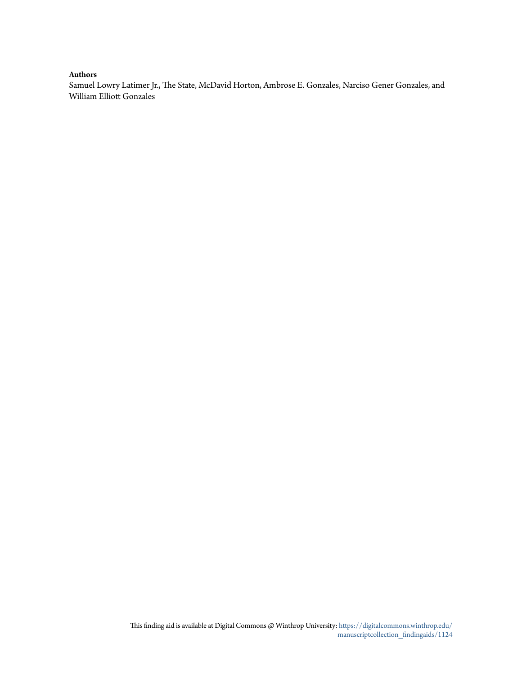#### **Authors**

Samuel Lowry Latimer Jr., The State, McDavid Horton, Ambrose E. Gonzales, Narciso Gener Gonzales, and William Elliott Gonzales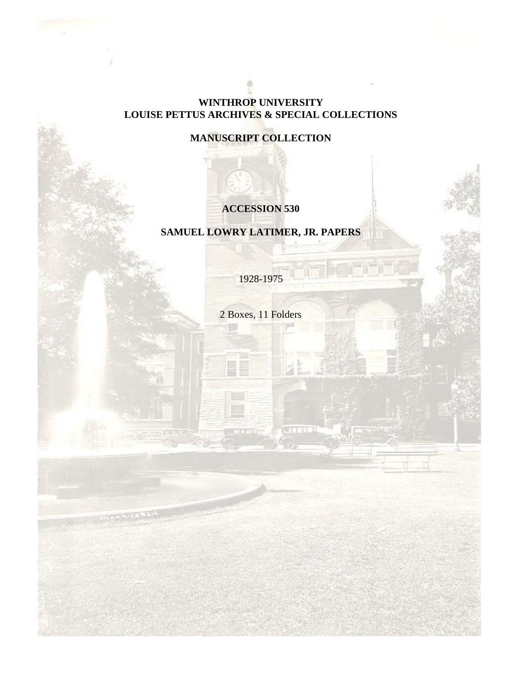# **WINTHROP UNIVERSITY LOUISE PETTUS ARCHIVES & SPECIAL COLLECTIONS**

# **MANUSCRIPT COLLECTION**

# **ACCESSION 530**

# **SAMUEL LOWRY LATIMER, JR. PAPERS**

1928-1975

2 Boxes, 11 Folders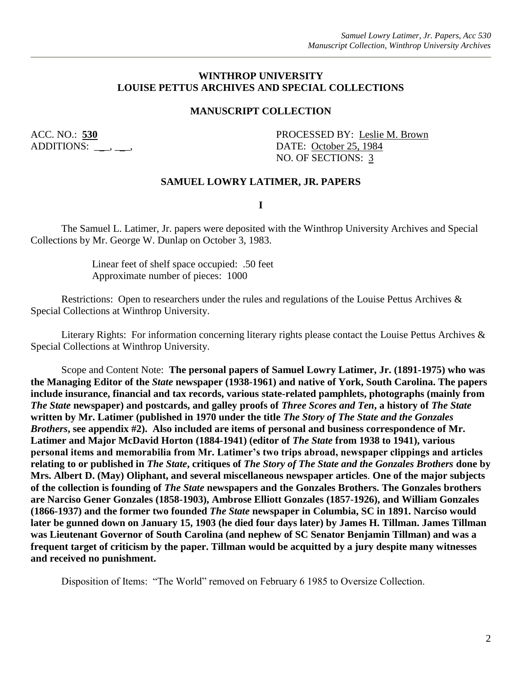# **WINTHROP UNIVERSITY LOUISE PETTUS ARCHIVES AND SPECIAL COLLECTIONS**

#### **MANUSCRIPT COLLECTION**

ACC. NO.: 530 PROCESSED BY: Leslie M. Brown ADDITIONS:  $\qquad \qquad$ ,  $\qquad \qquad$ , DATE: October 25, 1984 NO. OF SECTIONS: 3

#### **SAMUEL LOWRY LATIMER, JR. PAPERS**

**I**

The Samuel L. Latimer, Jr. papers were deposited with the Winthrop University Archives and Special Collections by Mr. George W. Dunlap on October 3, 1983.

> Linear feet of shelf space occupied: .50 feet Approximate number of pieces: 1000

Restrictions: Open to researchers under the rules and regulations of the Louise Pettus Archives & Special Collections at Winthrop University.

Literary Rights: For information concerning literary rights please contact the Louise Pettus Archives & Special Collections at Winthrop University.

Scope and Content Note: **The personal papers of Samuel Lowry Latimer, Jr. (1891-1975) who was the Managing Editor of the** *State* **newspaper (1938-1961) and native of York, South Carolina. The papers include insurance, financial and tax records, various state-related pamphlets, photographs (mainly from**  *The State* **newspaper) and postcards, and galley proofs of** *Three Scores and Ten***, a history of** *The State* **written by Mr. Latimer (published in 1970 under the title** *The Story of The State and the Gonzales Brothers***, see appendix #2). Also included are items of personal and business correspondence of Mr. Latimer and Major McDavid Horton (1884-1941) (editor of** *The State* **from 1938 to 1941), various personal items and memorabilia from Mr. Latimer's two trips abroad, newspaper clippings and articles relating to or published in** *The State***, critiques of** *The Story of The State and the Gonzales Brothers* **done by Mrs. Albert D. (May) Oliphant, and several miscellaneous newspaper articles**. **One of the major subjects of the collection is founding of** *The State* **newspapers and the Gonzales Brothers. The Gonzales brothers are Narciso Gener Gonzales (1858-1903), Ambrose Elliott Gonzales (1857-1926), and William Gonzales (1866-1937) and the former two founded** *The State* **newspaper in Columbia, SC in 1891. Narciso would later be gunned down on January 15, 1903 (he died four days later) by James H. Tillman. James Tillman was Lieutenant Governor of South Carolina (and nephew of SC Senator Benjamin Tillman) and was a frequent target of criticism by the paper. Tillman would be acquitted by a jury despite many witnesses and received no punishment.**

Disposition of Items: "The World" removed on February 6 1985 to Oversize Collection.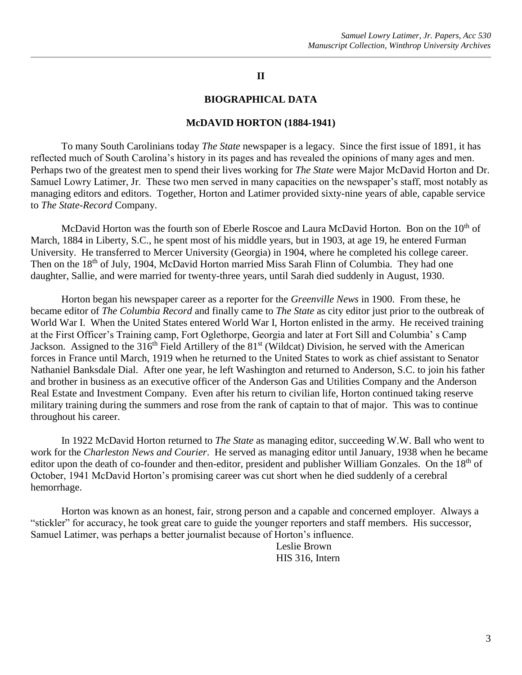# **II**

#### **BIOGRAPHICAL DATA**

#### **McDAVID HORTON (1884-1941)**

To many South Carolinians today *The State* newspaper is a legacy. Since the first issue of 1891, it has reflected much of South Carolina's history in its pages and has revealed the opinions of many ages and men. Perhaps two of the greatest men to spend their lives working for *The State* were Major McDavid Horton and Dr. Samuel Lowry Latimer, Jr. These two men served in many capacities on the newspaper's staff, most notably as managing editors and editors. Together, Horton and Latimer provided sixty-nine years of able, capable service to *The State-Record* Company.

McDavid Horton was the fourth son of Eberle Roscoe and Laura McDavid Horton. Bon on the 10<sup>th</sup> of March, 1884 in Liberty, S.C., he spent most of his middle years, but in 1903, at age 19, he entered Furman University. He transferred to Mercer University (Georgia) in 1904, where he completed his college career. Then on the 18<sup>th</sup> of July, 1904, McDavid Horton married Miss Sarah Flinn of Columbia. They had one daughter, Sallie, and were married for twenty-three years, until Sarah died suddenly in August, 1930.

Horton began his newspaper career as a reporter for the *Greenville News* in 1900. From these, he became editor of *The Columbia Record* and finally came to *The State* as city editor just prior to the outbreak of World War I. When the United States entered World War I, Horton enlisted in the army. He received training at the First Officer's Training camp, Fort Oglethorpe, Georgia and later at Fort Sill and Columbia' s Camp Jackson. Assigned to the 316<sup>th</sup> Field Artillery of the 81<sup>st</sup> (Wildcat) Division, he served with the American forces in France until March, 1919 when he returned to the United States to work as chief assistant to Senator Nathaniel Banksdale Dial. After one year, he left Washington and returned to Anderson, S.C. to join his father and brother in business as an executive officer of the Anderson Gas and Utilities Company and the Anderson Real Estate and Investment Company. Even after his return to civilian life, Horton continued taking reserve military training during the summers and rose from the rank of captain to that of major. This was to continue throughout his career.

In 1922 McDavid Horton returned to *The State* as managing editor, succeeding W.W. Ball who went to work for the *Charleston News and Courier*. He served as managing editor until January, 1938 when he became editor upon the death of co-founder and then-editor, president and publisher William Gonzales. On the 18<sup>th</sup> of October, 1941 McDavid Horton's promising career was cut short when he died suddenly of a cerebral hemorrhage.

Horton was known as an honest, fair, strong person and a capable and concerned employer. Always a "stickler" for accuracy, he took great care to guide the younger reporters and staff members. His successor, Samuel Latimer, was perhaps a better journalist because of Horton's influence.

> Leslie Brown HIS 316, Intern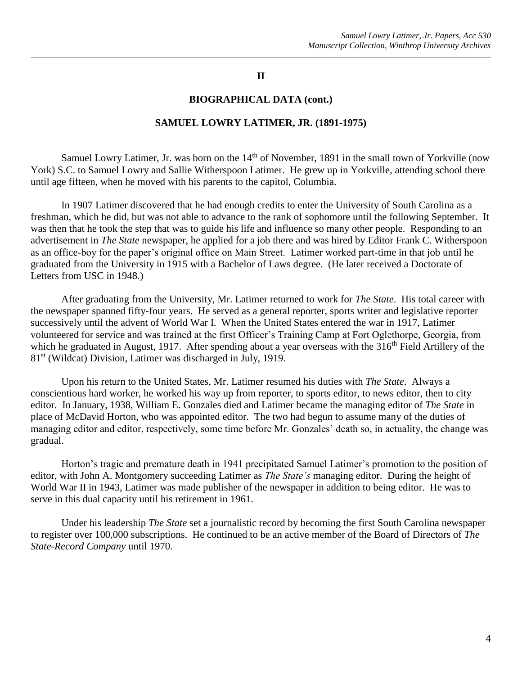# **II**

#### **BIOGRAPHICAL DATA (cont.)**

#### **SAMUEL LOWRY LATIMER, JR. (1891-1975)**

Samuel Lowry Latimer, Jr. was born on the 14<sup>th</sup> of November, 1891 in the small town of Yorkville (now York) S.C. to Samuel Lowry and Sallie Witherspoon Latimer. He grew up in Yorkville, attending school there until age fifteen, when he moved with his parents to the capitol, Columbia.

In 1907 Latimer discovered that he had enough credits to enter the University of South Carolina as a freshman, which he did, but was not able to advance to the rank of sophomore until the following September. It was then that he took the step that was to guide his life and influence so many other people. Responding to an advertisement in *The State* newspaper, he applied for a job there and was hired by Editor Frank C. Witherspoon as an office-boy for the paper's original office on Main Street. Latimer worked part-time in that job until he graduated from the University in 1915 with a Bachelor of Laws degree. (He later received a Doctorate of Letters from USC in 1948.)

After graduating from the University, Mr. Latimer returned to work for *The State*. His total career with the newspaper spanned fifty-four years. He served as a general reporter, sports writer and legislative reporter successively until the advent of World War I. When the United States entered the war in 1917, Latimer volunteered for service and was trained at the first Officer's Training Camp at Fort Oglethorpe, Georgia, from which he graduated in August, 1917. After spending about a year overseas with the  $316<sup>th</sup>$  Field Artillery of the 81<sup>st</sup> (Wildcat) Division, Latimer was discharged in July, 1919.

Upon his return to the United States, Mr. Latimer resumed his duties with *The State*. Always a conscientious hard worker, he worked his way up from reporter, to sports editor, to news editor, then to city editor. In January, 1938, William E. Gonzales died and Latimer became the managing editor of *The State* in place of McDavid Horton, who was appointed editor. The two had begun to assume many of the duties of managing editor and editor, respectively, some time before Mr. Gonzales' death so, in actuality, the change was gradual.

Horton's tragic and premature death in 1941 precipitated Samuel Latimer's promotion to the position of editor, with John A. Montgomery succeeding Latimer as *The State's* managing editor. During the height of World War II in 1943, Latimer was made publisher of the newspaper in addition to being editor. He was to serve in this dual capacity until his retirement in 1961.

Under his leadership *The State* set a journalistic record by becoming the first South Carolina newspaper to register over 100,000 subscriptions. He continued to be an active member of the Board of Directors of *The State-Record Company* until 1970.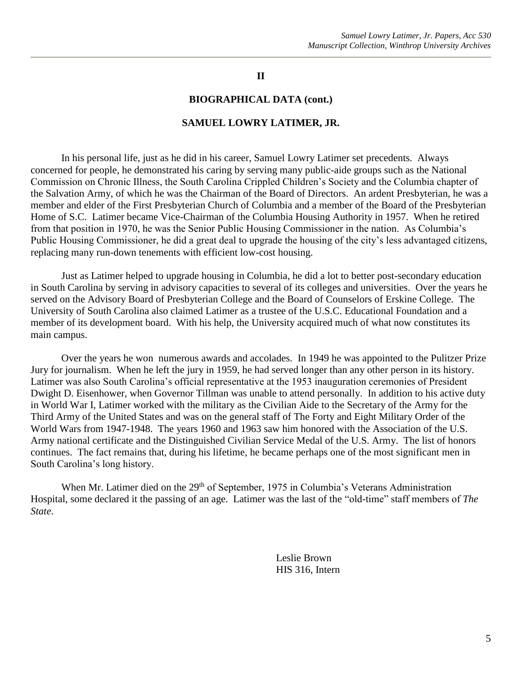# **II**

#### **BIOGRAPHICAL DATA (cont.)**

# **SAMUEL LOWRY LATIMER, JR.**

In his personal life, just as he did in his career, Samuel Lowry Latimer set precedents. Always concerned for people, he demonstrated his caring by serving many public-aide groups such as the National Commission on Chronic Illness, the South Carolina Crippled Children's Society and the Columbia chapter of the Salvation Army, of which he was the Chairman of the Board of Directors. An ardent Presbyterian, he was a member and elder of the First Presbyterian Church of Columbia and a member of the Board of the Presbyterian Home of S.C. Latimer became Vice-Chairman of the Columbia Housing Authority in 1957. When he retired from that position in 1970, he was the Senior Public Housing Commissioner in the nation. As Columbia's Public Housing Commissioner, he did a great deal to upgrade the housing of the city's less advantaged citizens, replacing many run-down tenements with efficient low-cost housing.

Just as Latimer helped to upgrade housing in Columbia, he did a lot to better post-secondary education in South Carolina by serving in advisory capacities to several of its colleges and universities. Over the years he served on the Advisory Board of Presbyterian College and the Board of Counselors of Erskine College. The University of South Carolina also claimed Latimer as a trustee of the U.S.C. Educational Foundation and a member of its development board. With his help, the University acquired much of what now constitutes its main campus.

Over the years he won numerous awards and accolades. In 1949 he was appointed to the Pulitzer Prize Jury for journalism. When he left the jury in 1959, he had served longer than any other person in its history. Latimer was also South Carolina's official representative at the 1953 inauguration ceremonies of President Dwight D. Eisenhower, when Governor Tillman was unable to attend personally. In addition to his active duty in World War I, Latimer worked with the military as the Civilian Aide to the Secretary of the Army for the Third Army of the United States and was on the general staff of The Forty and Eight Military Order of the World Wars from 1947-1948. The years 1960 and 1963 saw him honored with the Association of the U.S. Army national certificate and the Distinguished Civilian Service Medal of the U.S. Army. The list of honors continues. The fact remains that, during his lifetime, he became perhaps one of the most significant men in South Carolina's long history.

When Mr. Latimer died on the 29<sup>th</sup> of September, 1975 in Columbia's Veterans Administration Hospital, some declared it the passing of an age. Latimer was the last of the "old-time" staff members of *The State*.

> Leslie Brown HIS 316, Intern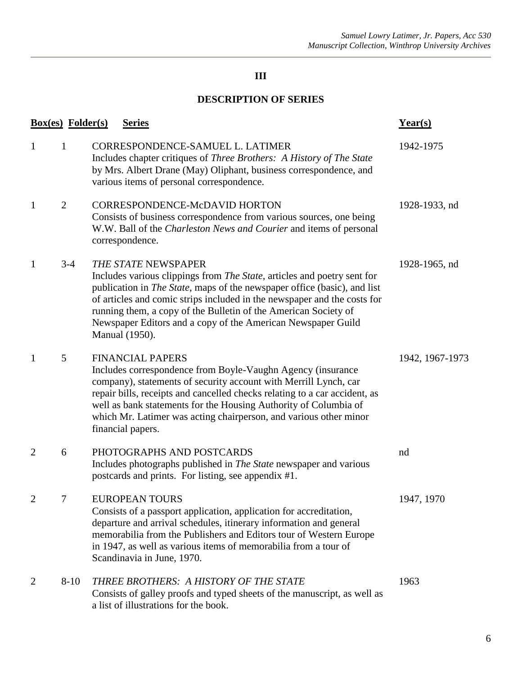# **III**

# **DESCRIPTION OF SERIES**

|                | <b>Box(es)</b> Folder(s) | <b>Series</b>                                                                                                                                                                                                                                                                                                                                                                                                                      | $Year(s)$       |
|----------------|--------------------------|------------------------------------------------------------------------------------------------------------------------------------------------------------------------------------------------------------------------------------------------------------------------------------------------------------------------------------------------------------------------------------------------------------------------------------|-----------------|
| 1              | 1                        | CORRESPONDENCE-SAMUEL L. LATIMER<br>Includes chapter critiques of <i>Three Brothers</i> : A History of <i>The State</i><br>by Mrs. Albert Drane (May) Oliphant, business correspondence, and<br>various items of personal correspondence.                                                                                                                                                                                          | 1942-1975       |
| 1              | $\overline{2}$           | CORRESPONDENCE-McDAVID HORTON<br>Consists of business correspondence from various sources, one being<br>W.W. Ball of the Charleston News and Courier and items of personal<br>correspondence.                                                                                                                                                                                                                                      | 1928-1933, nd   |
| 1              | $3-4$                    | THE STATE NEWSPAPER<br>Includes various clippings from <i>The State</i> , articles and poetry sent for<br>publication in <i>The State</i> , maps of the newspaper office (basic), and list<br>of articles and comic strips included in the newspaper and the costs for<br>running them, a copy of the Bulletin of the American Society of<br>Newspaper Editors and a copy of the American Newspaper Guild<br><b>Manual</b> (1950). | 1928-1965, nd   |
| 1              | 5                        | <b>FINANCIAL PAPERS</b><br>Includes correspondence from Boyle-Vaughn Agency (insurance<br>company), statements of security account with Merrill Lynch, car<br>repair bills, receipts and cancelled checks relating to a car accident, as<br>well as bank statements for the Housing Authority of Columbia of<br>which Mr. Latimer was acting chairperson, and various other minor<br>financial papers.                             | 1942, 1967-1973 |
| 2              | 6                        | PHOTOGRAPHS AND POSTCARDS<br>Includes photographs published in The State newspaper and various<br>postcards and prints. For listing, see appendix #1.                                                                                                                                                                                                                                                                              | nd              |
|                | 7                        | <b>EUROPEAN TOURS</b><br>Consists of a passport application, application for accreditation,<br>departure and arrival schedules, itinerary information and general<br>memorabilia from the Publishers and Editors tour of Western Europe<br>in 1947, as well as various items of memorabilia from a tour of<br>Scandinavia in June, 1970.                                                                                           | 1947, 1970      |
| $\overline{2}$ | $8-10$                   | THREE BROTHERS: A HISTORY OF THE STATE<br>Consists of galley proofs and typed sheets of the manuscript, as well as<br>a list of illustrations for the book.                                                                                                                                                                                                                                                                        | 1963            |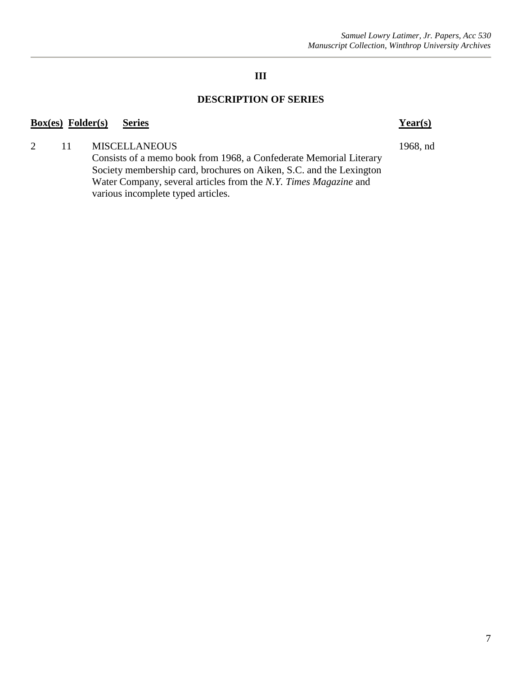# **III**

# **DESCRIPTION OF SERIES**

# **Box(es) Folder(s) Series Year(s)**

2 11 MISCELLANEOUS 1968, nd

Consists of a memo book from 1968, a Confederate Memorial Literary Society membership card, brochures on Aiken, S.C. and the Lexington Water Company, several articles from the *N.Y. Times Magazine* and various incomplete typed articles.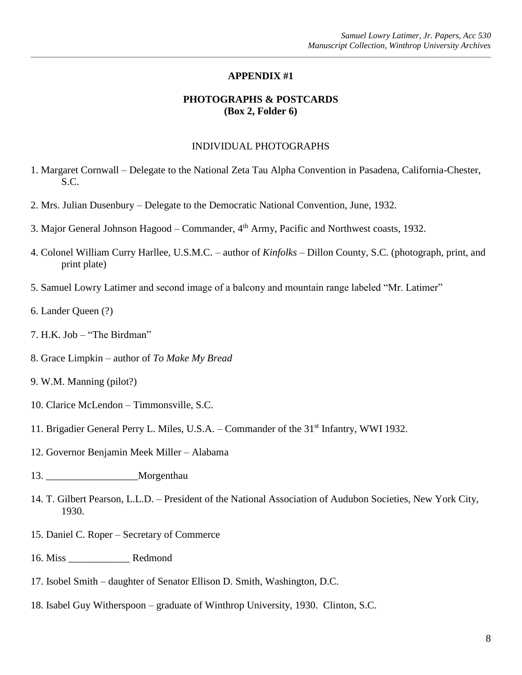# **APPENDIX #1**

# **PHOTOGRAPHS & POSTCARDS (Box 2, Folder 6)**

#### INDIVIDUAL PHOTOGRAPHS

- 1. Margaret Cornwall Delegate to the National Zeta Tau Alpha Convention in Pasadena, California-Chester, S.C.
- 2. Mrs. Julian Dusenbury Delegate to the Democratic National Convention, June, 1932.
- 3. Major General Johnson Hagood Commander, 4<sup>th</sup> Army, Pacific and Northwest coasts, 1932.
- 4. Colonel William Curry Harllee, U.S.M.C. author of *Kinfolks* Dillon County, S.C. (photograph, print, and print plate)
- 5. Samuel Lowry Latimer and second image of a balcony and mountain range labeled "Mr. Latimer"
- 6. Lander Queen (?)
- 7. H.K. Job "The Birdman"
- 8. Grace Limpkin author of *To Make My Bread*
- 9. W.M. Manning (pilot?)
- 10. Clarice McLendon Timmonsville, S.C.
- 11. Brigadier General Perry L. Miles, U.S.A. Commander of the 31<sup>st</sup> Infantry, WWI 1932.
- 12. Governor Benjamin Meek Miller Alabama
- 13. \_\_\_\_\_\_\_\_\_\_\_\_\_\_\_\_\_\_Morgenthau
- 14. T. Gilbert Pearson, L.L.D. President of the National Association of Audubon Societies, New York City, 1930.
- 15. Daniel C. Roper Secretary of Commerce
- 16. Miss \_\_\_\_\_\_\_\_\_\_\_\_ Redmond
- 17. Isobel Smith daughter of Senator Ellison D. Smith, Washington, D.C.
- 18. Isabel Guy Witherspoon graduate of Winthrop University, 1930. Clinton, S.C.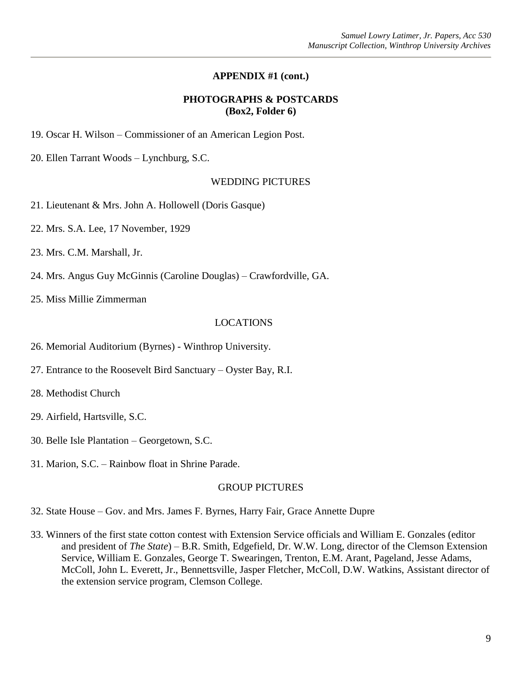# **APPENDIX #1 (cont.)**

# **PHOTOGRAPHS & POSTCARDS (Box2, Folder 6)**

19. Oscar H. Wilson – Commissioner of an American Legion Post.

20. Ellen Tarrant Woods – Lynchburg, S.C.

# WEDDING PICTURES

21. Lieutenant & Mrs. John A. Hollowell (Doris Gasque)

22. Mrs. S.A. Lee, 17 November, 1929

23. Mrs. C.M. Marshall, Jr.

24. Mrs. Angus Guy McGinnis (Caroline Douglas) – Crawfordville, GA.

25. Miss Millie Zimmerman

#### LOCATIONS

- 26. Memorial Auditorium (Byrnes) Winthrop University.
- 27. Entrance to the Roosevelt Bird Sanctuary Oyster Bay, R.I.
- 28. Methodist Church
- 29. Airfield, Hartsville, S.C.
- 30. Belle Isle Plantation Georgetown, S.C.
- 31. Marion, S.C. Rainbow float in Shrine Parade.

# GROUP PICTURES

32. State House – Gov. and Mrs. James F. Byrnes, Harry Fair, Grace Annette Dupre

33. Winners of the first state cotton contest with Extension Service officials and William E. Gonzales (editor and president of *The State*) – B.R. Smith, Edgefield, Dr. W.W. Long, director of the Clemson Extension Service, William E. Gonzales, George T. Swearingen, Trenton, E.M. Arant, Pageland, Jesse Adams, McColl, John L. Everett, Jr., Bennettsville, Jasper Fletcher, McColl, D.W. Watkins, Assistant director of the extension service program, Clemson College.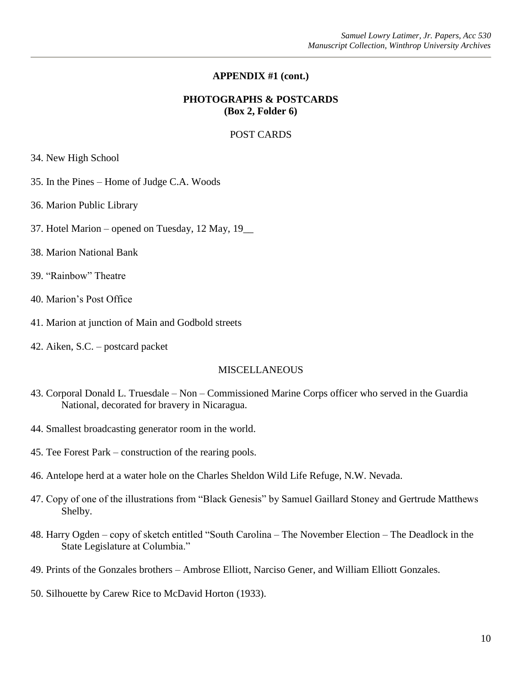# **APPENDIX #1 (cont.)**

# **PHOTOGRAPHS & POSTCARDS (Box 2, Folder 6)**

# POST CARDS

34. New High School

- 35. In the Pines Home of Judge C.A. Woods
- 36. Marion Public Library
- 37. Hotel Marion opened on Tuesday, 12 May, 19\_\_
- 38. Marion National Bank
- 39. "Rainbow" Theatre
- 40. Marion's Post Office
- 41. Marion at junction of Main and Godbold streets
- 42. Aiken, S.C. postcard packet

#### MISCELLANEOUS

- 43. Corporal Donald L. Truesdale Non Commissioned Marine Corps officer who served in the Guardia National, decorated for bravery in Nicaragua.
- 44. Smallest broadcasting generator room in the world.
- 45. Tee Forest Park construction of the rearing pools.
- 46. Antelope herd at a water hole on the Charles Sheldon Wild Life Refuge, N.W. Nevada.
- 47. Copy of one of the illustrations from "Black Genesis" by Samuel Gaillard Stoney and Gertrude Matthews Shelby.
- 48. Harry Ogden copy of sketch entitled "South Carolina The November Election The Deadlock in the State Legislature at Columbia."
- 49. Prints of the Gonzales brothers Ambrose Elliott, Narciso Gener, and William Elliott Gonzales.
- 50. Silhouette by Carew Rice to McDavid Horton (1933).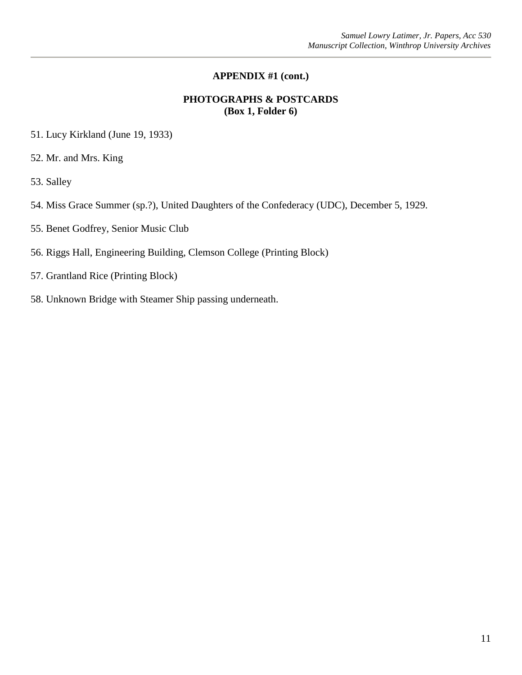# **APPENDIX #1 (cont.)**

# **PHOTOGRAPHS & POSTCARDS (Box 1, Folder 6)**

- 51. Lucy Kirkland (June 19, 1933)
- 52. Mr. and Mrs. King
- 53. Salley
- 54. Miss Grace Summer (sp.?), United Daughters of the Confederacy (UDC), December 5, 1929.
- 55. Benet Godfrey, Senior Music Club
- 56. Riggs Hall, Engineering Building, Clemson College (Printing Block)
- 57. Grantland Rice (Printing Block)
- 58. Unknown Bridge with Steamer Ship passing underneath.